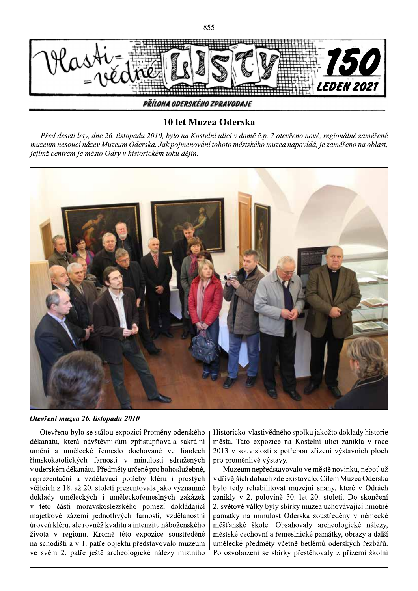ivance *LEDEN 2021* PŘÍLOHA ODERSKÉHO ZPRAVODAJE

## 10 let Muzea Oderska

Před deseti lety, dne 26. listopadu 2010, bylo na Kostelní ulici v domě č.p. 7 otevřeno nové, regionálně zaměřené muzeum nesoucí název Muzeum Oderska. Jak pojmenování tohoto městského muzea napovídá, je zaměřeno na oblast, jejímž centrem je město Odry v historickém toku dějin.



Otevření muzea 26. listopadu 2010

Otevřeno bylo se stálou expozicí Proměny oderského děkanátu, která návštěvníkům zpřístupňovala sakrální umění a umělecké řemeslo dochované ve fondech římskokatolických farností v minulosti sdružených v oderském děkanátu. Předměty určené pro bohoslužebné, reprezentační a vzdělávací potřeby kléru i prostých věřících z 18. až 20. století prezentovala jako významné doklady uměleckých i uměleckořemeslných zakázek v této části moravskoslezského pomezí dokládající majetkové zázemí jednotlivých farností, vzdělanostní úroveň kléru, ale rovněž kvalitu a intenzitu náboženského života v regionu. Kromě této expozice soustředěné na schodišti a v 1. patře objektu představovalo muzeum ve svém 2. patře ještě archeologické nálezy místního Historicko-vlastivě dného spolku jakožto doklady historie města. Tato expozice na Kostelní ulici zanikla v roce 2013 v souvislosti s potřebou zřízení výstavních ploch pro proměnlivé výstavy.

Muzeum nepředstavovalo ve městě novinku, neboť už v dřívějších dobách zde existovalo. Cílem Muzea Oderska bylo tedy rehabilitovat muzejní snahy, které v Odrách zanikly v 2. polovině 50. let 20. století. Do skončení 2. světové války byly sbírky muzea uchovávající hmotné památky na minulost Oderska soustředěny v německé měšťanské škole. Obsahovaly archeologické nálezy, městské cechovní a řemeslnické památky, obrazy a další umělecké předměty včetně betlémů oderských řezbářů. Po osvobození se sbírky přestěhovaly z přízemí školní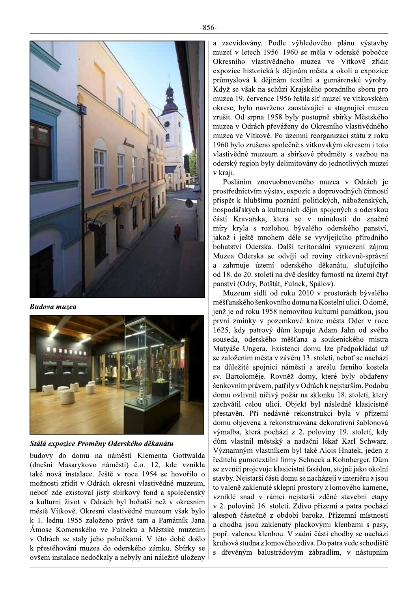$-856-$ 



**Budova muzea** 



Stálá expozice Proměny Oderského děkanátu

budovy do domu na náměstí Klementa Gottwalda (dnešní Masarykovo náměstí) č.o. 12, kde vznikla také nová instalace. Ještě v roce 1954 se hovořilo o možnosti zřídit v Odrách okresní vlastivědné muzeum, neboť zde existoval jistý sbírkový fond a společenský a kulturní život v Odrách byl bohatší než v okresním městě Vítkově. Okresní vlastivědné muzeum však bylo k 1. lednu 1955 založeno právě tam a Památník Jana Ámose Komenského ve Fulneku a Městské muzeum v Odrách se staly jeho pobočkami. V této době došlo k přestěhování muzea do oderského zámku. Sbírky se ovšem instalace nedočkaly a nebyly ani náležitě uloženy

a zaevidovány. Podle výhledového plánu výstavby muzeí v letech 1956–1960 se měla v oderské pobočce Okresního vlastivědného muzea ve Vítkově zřídit expozice historická k dějinám města a okolí a expozice průmyslová k dějinám textilní a gumárenské výroby. Když se však na schůzi Krajského poradního sboru pro muzea 19. července 1956 řešila síť muzeí ve vítkovském okrese, bylo navrženo zaostávající a stagnující muzea zrušit. Od srpna 1958 byly postupně sbírky Městského muzea v Odrách převáženy do Okresního vlastivědného muzea ve Vítkově. Po územní reorganizaci státu z roku 1960 bylo zrušeno společně s vítkovským okresem i toto vlastivědné muzeum a sbírkové předměty s vazbou na oderský region byly delimitovány do jednotlivých muzeí v kraji.

Posláním znovuobnoveného muzea v Odrách je prostřednictvím výstav, expozic a doprovodných činností přispět k hlubšímu poznání politických, náboženských, hospodářských a kulturních dějin spojených s oderskou částí Kravařska, která se v minulosti do značné míry kryla s rozlohou bývalého oderského panství, jakož i ještě mnohem déle se vyvíjejícího přírodního bohatství Oderska. Další teritoriální vymezení zájmu Muzea Oderska se odvíjí od roviny církevně-správní a zahrnuje území oderského děkanátu, slučujícího od 18. do 20. století na dvě desítky farností na území čtyř panství (Odry, Potštát, Fulnek, Spálov).

Muzeum sídlí od roku 2010 v prostorách bývalého měšťanského šenkovního domu na Kostelní ulici. O domě, jenž je od roku 1958 nemovitou kulturní památkou, jsou první zmínky v pozemkové knize města Oder v roce 1625, kdy patrový dům kupuje Adam Jahn od svého souseda, oderského měšťana a soukenického mistra Matyáše Ungera. Existenci domu lze předpokládat už se založením města v závěru 13. století, neboť se nachází na důležité spojnici náměstí a areálu farního kostela sv. Bartoloměje. Rovněž domy, které byly obdařeny šenkovním právem, patřily v Odrách k nejstarším. Podobu domu ovlivnil ničivý požár na sklonku 18. století, který zachvátil celou ulici. Objekt byl následně klasicistně přestavěn. Při nedávné rekonstrukci byla v přízemí domu objevena a rekonstruována dekorativní šablonová výmalba, která pochází z 2. poloviny 19. století, kdy dům vlastnil městský a nadační lékař Karl Schwarz. Významným vlastníkem byl také Alois Hnatek, jeden z ředitelů gumotextilní firmy Schneck a Kohnberger. Dům se zvenčí projevuje klasicistní fasádou, stejně jako okolní stavby. Nejstarší části domu se nacházejí v interiéru a jsou to valeně zaklenuté sklepní prostory z lomového kamene, vzniklé snad v rámci nejstarší zděné stavební etapy v 2. polovině 16. století. Zdivo přízemí a patra pochází alespoň částečně z období baroka. Přízemní místnosti a chodba jsou zaklenuty plackovými klenbami s pasy, popř. valenou klenbou. V zadní části chodby se nachází kruhová studna z lomového zdiva. Do patra vede schodiště s dřevěným balustrádovým zábradlím, v nástupním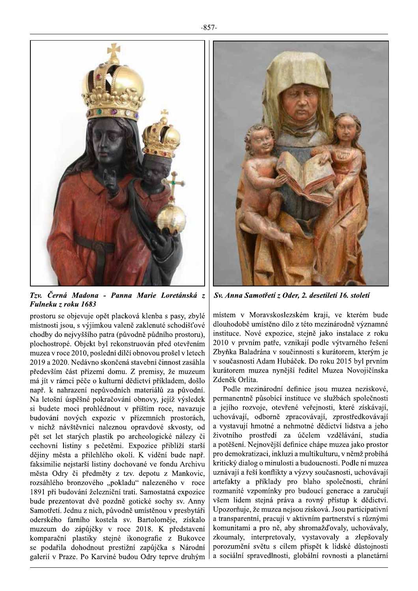

Tzv. Černá Madona - Panna Marie Loretánská z Fulneku z roku 1683

prostoru se objevuje opět placková klenba s pasy, zbylé místnosti jsou, s výjimkou valeně zaklenuté schodišťové chodby do nejvyššího patra (původně půdního prostoru), plochostropé. Objekt byl rekonstruován před otevřením muzea v roce 2010, poslední dílčí obnovou prošel v letech 2019 a 2020. Nedávno skončená stavební činnost zasáhla především část přízemí domu. Z premisy, že muzeum má jít v rámci péče o kulturní dědictví příkladem, došlo např. k nahrazení nepůvodních materiálů za původní. Na letošní úspěšné pokračování obnovy, jejíž výsledek si budete moci prohlédnout v příštím roce, navazuje budování nových expozic v přízemních prostorách, v nichž návštěvníci naleznou opravdové skvosty, od pět set let starých plastik po archeologické nálezy či cechovní listiny s pečetěmi. Expozice přiblíží starší dějiny města a přilehlého okolí. K vidění bude např. faksimilie nejstarší listiny dochované ve fondu Archivu města Odry či předměty z tzv. depotu z Mankovic, rozsáhlého bronzového "pokladu" nalezeného v roce 1891 při budování železniční trati. Samostatná expozice bude prezentovat dvě pozdně gotické sochy sv. Anny Samotřetí. Jednu z nich, původně umístěnou v presbytáři oderského farního kostela sv. Bartoloměje, získalo muzeum do zápůjčky v roce 2018. K představení komparační plastiky stejné ikonografie z Bukovce se podařila dohodnout prestižní zapůjčka s Národní galerií v Praze. Po Karviné budou Odry teprve druhým



Sv. Anna Samotřetí z Oder, 2. desetiletí 16. století

místem v Moravskoslezském kraji, ve kterém bude dlouhodobě umístěno dílo z této mezinárodně významné instituce. Nové expozice, stejně jako instalace z roku 2010 v prvním patře, vznikají podle výtvarného řešení Zbyňka Baladrána v součinnosti s kurátorem, kterým je v současnosti Adam Hubáček. Do roku 2015 byl prvním kurátorem muzea nynější ředitel Muzea Novojičínska Zdeněk Orlita.

Podle mezinárodní definice jsou muzea neziskové, permanentně působící instituce ve službách společnosti a jejího rozvoje, otevřené veřejnosti, které získávají, uchovávají, odborně zpracovávají, zprostředkovávají a vystavují hmotné a nehmotné dědictví lidstva a jeho životního prostředí za účelem vzdělávání, studia a potěšení. Nejnovější definice chápe muzea jako prostor pro demokratizaci, inkluzi a multikulturu, v němž probíhá kritický dialog o minulosti a budoucnosti. Podle ní muzea uznávají a řeší konflikty a výzvy současnosti, uchovávají artefakty a příklady pro blaho společnosti, chrání rozmanité vzpomínky pro budoucí generace a zaručují všem lidem stejná práva a rovný přístup k dědictví. Upozorňuje, že muzea nejsou zisková. Jsou participativní a transparentní, pracují v aktivním partnerství s různými komunitami a pro ně, aby shromažďovaly, uchovávaly, zkoumaly, interpretovaly, vystavovaly a zlepšovaly porozumění světu s cílem přispět k lidské důstojnosti a sociální spravedlnosti, globální rovnosti a planetární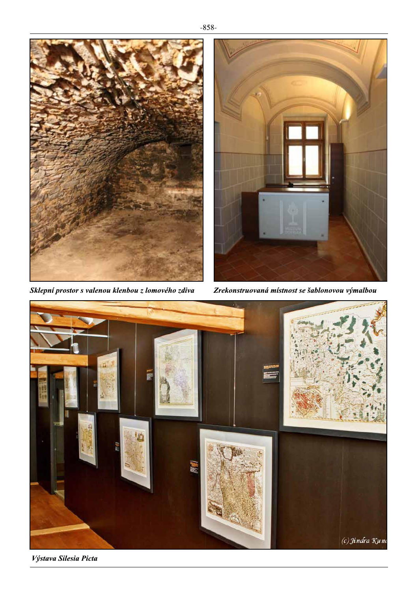$-858-$ 



Sklepní prostor s valenou klenbou z lomového zdiva



Zrekonstruovaná místnost se šablonovou výmalbou



Výstava Silesia Picta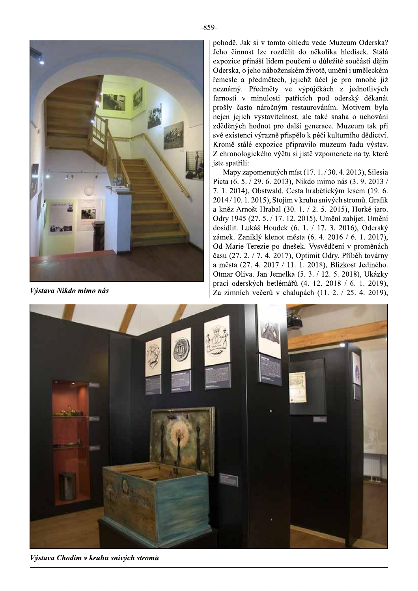

9-<br>pohodě. Jak si v tomto ohledu vede Muzeum Oderska? .<br>Jeho činnost lze rozdělit do několika hledisek. Stálá expozice přináší lidem poučení o důležité součástí dě du vede Muzeum Oderska?<br>
o několika hledisek. Stálá<br>
ení o důležité součástí dějin<br>
n životě, umění i uměleckém<br>
hž účel je pro mnohé již<br>
ýpůjčkách z jednotlivých<br>
ích pod oderský děkanát<br>
aurováním. Motivem byla<br>
ale tak Oderska, o jeho náboženském životě, umění i uměleckém -859-<br>
Pohodě. Jak si v tomto ohledu vede<br>
Jeho činnost lze rozdělit do něko<br>
expozice přináší lidem poučení o dí<br>
Oderska, o jeho náboženském životě<br>
řemesle a předmětech, jejichž úče<br>
neznámý. Předměty ve výpůjčká<br>
farno řemesle a předmětech, jejichž účel je pro mnohé ji pohodě. Jak si v tomto ohledu vede Muzeum Oder<br>Jeho činnost lze rozdělit do několika hledisek.<br>expozice přináší lidem poučení o důležité součástí<br>Oderska, o jeho náboženském životě, umění i umělec<br>řemesle a předmětech, jej si v tomto ohledu vede Muzeum Oderska?<br>
lze rozdělit do několika hledisek. Stálá<br>
aáší lidem poučení o důležité součástí dějin<br>
ho náboženském životě, umění i uměleckém<br>
iedmětech, jejichž účel je pro mnohé již<br>
fedměty ve du vede Muzeum Oderska?<br>
o několika hledisek. Stálá<br>
ení o důležité součástí dějin<br>
i životě, umění i uměleckém<br>
hž účel je pro mnohé již<br>
ýpůjčkách z jednotlivých<br>
ích pod oderský děkanát<br>
aurováním. Motivem byla<br>
ale tak neznámý. Předměty ve výpůjčkách z i . Jak si v tomto ohledu vede Muzeum Oderska?<br>nnost lze rozdělit do několika hledisek. Stálá<br>e přináší lidem poučení o důležité součástí dějin<br>a, o jeho náboženském životě, umění i uměleckém<br>a předmětech, jejichž účel je pr mnto ohledu vede Muzeum Oderska?<br>
rozdělit do několika hledisek. Stálá<br>
dem poučení o důležité součástí dějin<br>
boženském životě, umění i uměleckém<br>
tech, jejichž účel je pro mnohé již<br>
ty ve výpůjčkách z jednotlivých<br>
sti farností v minulosti patřících pod oderský děkanát prošly často náročným restaurováním. Motivem byla ponoae. Jak si v tomto oneau vede Muzeum Oderska?<br>
Jeho činnost lze rozdělit do několika hledisek. Stálá<br>
expozice přináší lidem poučení o důležité součástí dějin<br>
oderska, o jeho náboženském životě, umění i uměleckém<br>
fem ponode. Jak si v tomto oniedu v<br>
Jeho činnost lze rozdělit do ně<br>
expozice přináší lidem poučení o<br>
oderska, o jeho náboženském živer<br>
řemesle a předmětech, jejichž v výpůj<br>
farností v minulosti patřících<br>
prošly často nár vystavitelnost, ale také snaha o uchování zděděných hodnot pro další generace. Muzeum tak při své existenci výrazně přispělo k péči kulturního dědictví. Kromě stálé expozice připravilo muzeum řadu výstav. Z chronologického výčtu si jistě vzpomenete na tv. které nesie a predmetech, jejichz ucer je pro mnone<br>mámý. Předměty ve výpůjčkách z jednotlivností v minulosti patřících pod oderský děka<br>šly často náročným restaurováním. Motivem l<br>en jejich vystavitelnost, ale také snaha o ucho mezhamy. Predmetý ve vypujckách z jednotnívych farností v minulosti paříčich pod oderský děkanát prošlý čáko náročným restaurovámí. Motivem byla nejen jejich vystavitelnost, ale také snaha o uchování zděděných hodnot pro d jste spatřili:

Mapy zapomenutých míst  $(17, 1, 1/30, 4, 2013)$ . Silesia Picta  $(6, 5, 7, 29, 6, 2013)$ . Nikdo mimo nás  $(3, 9, 2013)$ 7. 1. 2014). Obstwald. Cesta hrabětickým lesem (19. 6.  $2014/10.1, 2015$ ). Stojím v kruhu snivých stromů. Grafik zaedenych nodnot pro dalsí generace. Muzeun<br>
své existenci výrazně přispělo k péči kulturního<br>
Kromě stálé expozice připravilo muzeum řad<br>
Z chronologického výčtu si jistě vzpomenete na<br>
jste spatřili:<br>
Mapy zapomenutých m a kněz Arnošt Hrabal (30, 1, / 2, 5, 2015). Horké ja belo k peci kulurnino dedictvi.<br>
i jistě vzpomenete na ty, které<br>
st (17. 1. / 30. 4. 2013), Silesia<br>
st (17. 1. / 30. 4. 2013), Silesia<br>
Nikdo mimo nás (3. 9. 2013 /<br>
ta hrabětickým lesem (19. 6.<br>
kruhu snivých stromů. G Odrv 1945 (27, 5, / 17, 12, 2015). Umění zabíjet. Umění výčtu si jistě vzpomenete na ty, které<br>
výčtu si jistě vzpomenete na ty, které<br>
vch míst (17. 1. / 30. 4. 2013), Silesia<br>
013), Nikdo mimo nás (3. 9. 2013 /<br>
d. Cesta hrabětickým lesem (19. 6.<br>
ojím v kruhu snivých stromů. dosídlit. Lukáš Houdek  $(6, 1, 1/17, 3, 2016)$ . Oderský zámek. Zaniklý klenot města  $(6, 4, 2016 / 6, 1, 2017)$ . Od Marie Terezie po dnešek. Vysvědčení v proměnách  $\check{c}$ asu (27, 2, / 7, 4, 2017). Optimit Odrv, Příběh továrny a města (27. 4. 2017 / 11. 1. 2018). Blízkost Jediného. Otmar Oliva, Jan Jemelka  $(5, 3, / 12, 5, 2018)$ , Ukázky prací oderských betlémářů (4, 12, 2018 / 6, 1, 2019). Výstava Nikdo mimo nás<br>  $\begin{bmatrix} \frac{\pi}{2} & \frac{\pi}{2} & \frac{\pi}{2} \\ \frac{\pi}{2} & \frac{\pi}{2} & \frac{\pi}{2} \\ \frac{\pi}{2} & \frac{\pi}{2} & \frac{\pi}{2} \\ \frac{\pi}{2} & \frac{\pi}{2} & \frac{\pi}{2} \\ \frac{\pi}{2} & \frac{\pi}{2} & \frac{\pi}{2} \end{bmatrix}$  (11. 2. / 25. 4. 2019).



Výstava Chodím v kruhu snivých stromů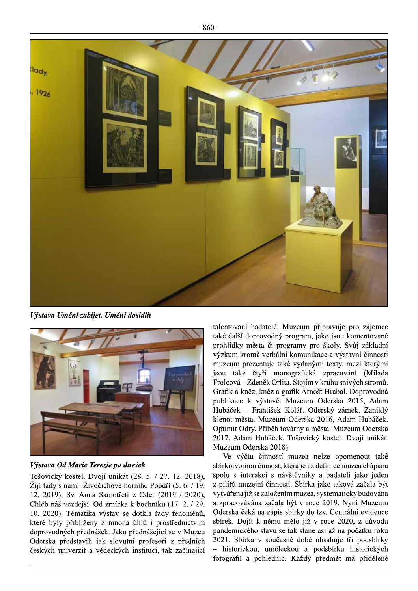$-860-$ 



Výstava Umění zabíjet. Umění dosídlit



Výstava Od Marie Terezie po dnešek

Tošovický kostel. Dvojí unikát (28. 5. / 27. 12. 2018), Žijí tady s námi. Živočichové horního Poodří (5. 6. / 19. 12. 2019), Sv. Anna Samotřetí z Oder (2019 / 2020), Chléb náš vezdejší. Od zrníčka k bochníku (17. 2. / 29. 10. 2020). Tématika výstav se dotkla řady fenoménů, které byly přiblíženy z mnoha úhlů i prostřednictvím doprovodných přednášek. Jako přednášející se v Muzeu Oderska představili jak slovutní profesoři z předních českých univerzit a vědeckých institucí, tak začínající

talentovaní badatelé. Muzeum připravuje pro zájemce také další doprovodný program, jako jsou komentované prohlídky města či programy pro školy. Svůj základní výzkum kromě verbální komunikace a výstavní činnosti muzeum prezentuje také vydanými texty, mezi kterými jsou také čtyři monografická zpracování (Milada Frolcová – Zdeněk Orlita. Stojím v kruhu snivých stromů. Grafik a kněz, kněz a grafik Arnošt Hrabal. Doprovodná publikace k výstavě. Muzeum Oderska 2015, Adam Hubáček - František Kolář. Oderský zámek. Zaniklý klenot města. Muzeum Oderska 2016, Adam Hubáček. Optimit Odry. Příběh továrny a města. Muzeum Oderska 2017, Adam Hubáček. Tošovický kostel. Dvojí unikát. Muzeum Oderska 2018).

Ve výčtu činností muzea nelze opomenout také sbírkotvornou činnost, která je i z definice muzea chápána spolu s interakcí s návštěvníky a badateli jako jeden z pilířů muzejní činnosti. Sbírka jako taková začala být vytvářena již se založením muzea, systematicky budována a zpracovávána začala být v roce 2019. Nyní Muzeum Oderska čeká na zápis sbírky do tzv. Centrální evidence sbírek. Dojít k němu mělo již v roce 2020, z důvodu pandemického stavu se tak stane asi až na počátku roku 2021. Sbírka v současné době obsahuje tři podsbírky - historickou, uměleckou a podsbírku historických fotografií a pohlednic. Každý předmět má přidělené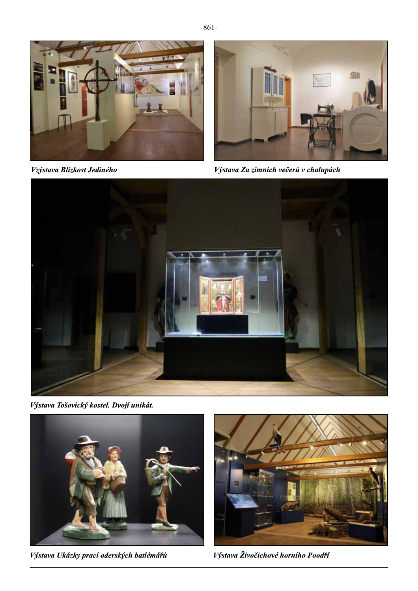

Vzýstava Blízkost Jediného



Výstava Za zimních večerů v chalupách



Výstava Tošovický kostel. Dvojí unikát.



Výstava Ukázky prací oderských batlémářů



Výstava Živočichové horního Poodří